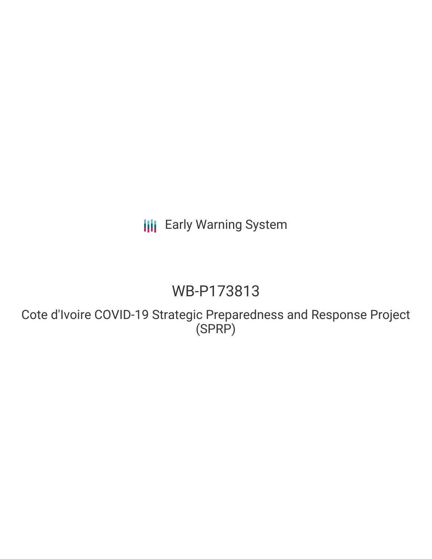**III** Early Warning System

## WB-P173813

Cote d'Ivoire COVID-19 Strategic Preparedness and Response Project (SPRP)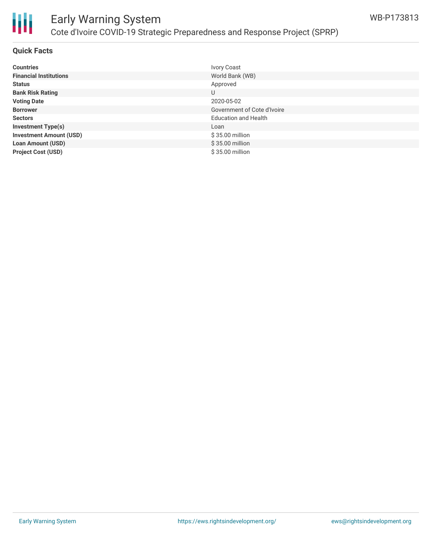

# Ш

## Early Warning System Cote d'Ivoire COVID-19 Strategic Preparedness and Response Project (SPRP)

#### **Quick Facts**

| <b>Countries</b>               | <b>Ivory Coast</b>          |
|--------------------------------|-----------------------------|
| <b>Financial Institutions</b>  | World Bank (WB)             |
| <b>Status</b>                  | Approved                    |
| <b>Bank Risk Rating</b>        | U                           |
| <b>Voting Date</b>             | 2020-05-02                  |
| <b>Borrower</b>                | Government of Cote d'Ivoire |
| <b>Sectors</b>                 | <b>Education and Health</b> |
| <b>Investment Type(s)</b>      | Loan                        |
| <b>Investment Amount (USD)</b> | \$35.00 million             |
| <b>Loan Amount (USD)</b>       | \$35.00 million             |
| <b>Project Cost (USD)</b>      | \$35.00 million             |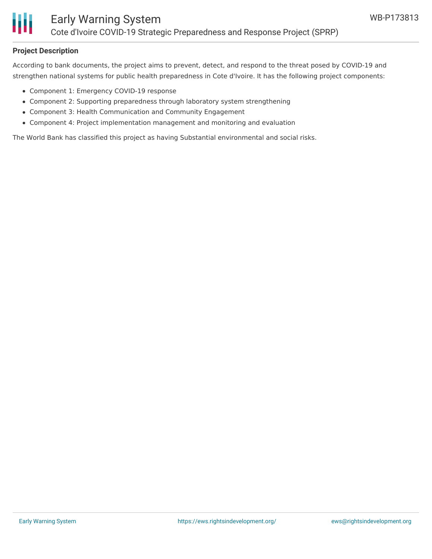

#### **Project Description**

According to bank documents, the project aims to prevent, detect, and respond to the threat posed by COVID-19 and strengthen national systems for public health preparedness in Cote d'Ivoire. It has the following project components:

- Component 1: Emergency COVID-19 response
- Component 2: Supporting preparedness through laboratory system strengthening
- Component 3: Health Communication and Community Engagement
- Component 4: Project implementation management and monitoring and evaluation

The World Bank has classified this project as having Substantial environmental and social risks.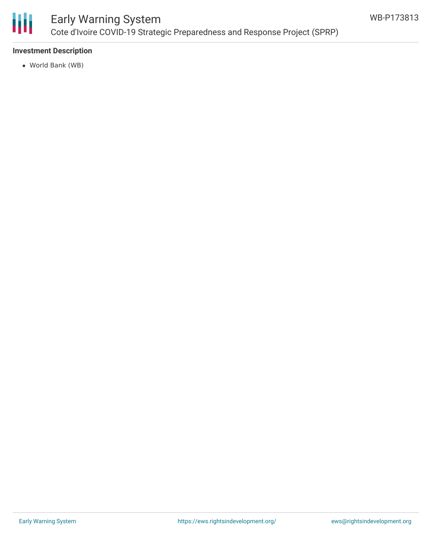

## Early Warning System Cote d'Ivoire COVID-19 Strategic Preparedness and Response Project (SPRP)

#### **Investment Description**

World Bank (WB)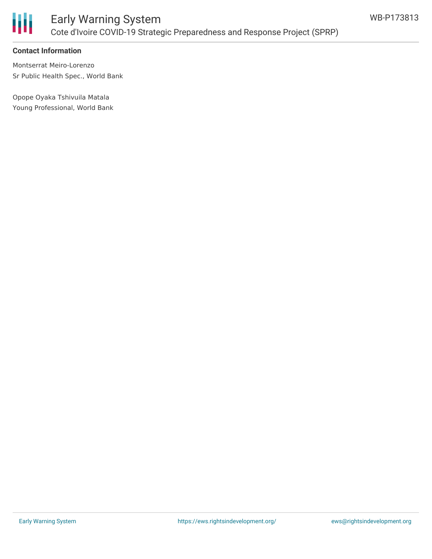

#### **Contact Information**

Montserrat Meiro-Lorenzo Sr Public Health Spec., World Bank

Opope Oyaka Tshivuila Matala Young Professional, World Bank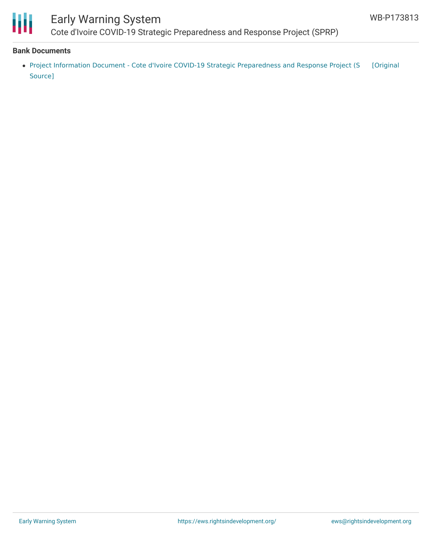

## Early Warning System

Cote [d](mailto:clovisko@yahoo.fr)'[Ivoire](mailto:clovisko@yahoo.fr) COVID-19 Strategic Preparedness and Response Project (SPRP)

#### **Bank Documents**

• Project Information Document - Cote d'Ivoire COVID-19 Strategic [Preparedness](https://ewsdata.rightsindevelopment.org/files/documents/13/WB-P173813.pdf) and Response Project (S [Original Source]